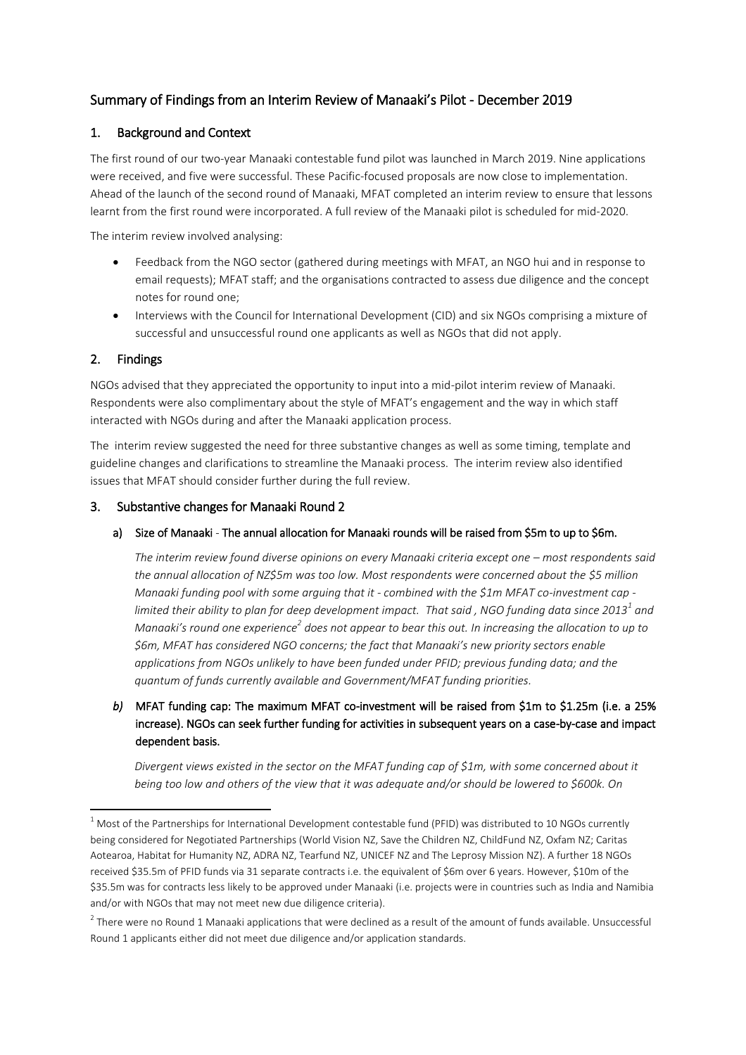# Summary of Findings from an Interim Review of Manaaki's Pilot - December 2019

# 1. Background and Context

The first round of our two-year Manaaki contestable fund pilot was launched in March 2019. Nine applications were received, and five were successful. These Pacific-focused proposals are now close to implementation. Ahead of the launch of the second round of Manaaki, MFAT completed an interim review to ensure that lessons learnt from the first round were incorporated. A full review of the Manaaki pilot is scheduled for mid-2020.

The interim review involved analysing:

- Feedback from the NGO sector (gathered during meetings with MFAT, an NGO hui and in response to email requests); MFAT staff; and the organisations contracted to assess due diligence and the concept notes for round one;
- Interviews with the Council for International Development (CID) and six NGOs comprising a mixture of successful and unsuccessful round one applicants as well as NGOs that did not apply.

# 2. Findings

 $\overline{a}$ 

NGOs advised that they appreciated the opportunity to input into a mid-pilot interim review of Manaaki. Respondents were also complimentary about the style of MFAT's engagement and the way in which staff interacted with NGOs during and after the Manaaki application process.

The interim review suggested the need for three substantive changes as well as some timing, template and guideline changes and clarifications to streamline the Manaaki process. The interim review also identified issues that MFAT should consider further during the full review.

# 3. Substantive changes for Manaaki Round 2

#### a) Size of Manaaki - The annual allocation for Manaaki rounds will be raised from \$5m to up to \$6m.

*The interim review found diverse opinions on every Manaaki criteria except one – most respondents said the annual allocation of NZ\$5m was too low. Most respondents were concerned about the \$5 million Manaaki funding pool with some arguing that it - combined with the \$1m MFAT co-investment cap limited their ability to plan for deep development impact. That said , NGO funding data since 2013<sup>1</sup> and Manaaki's round one experience<sup>2</sup> does not appear to bear this out. In increasing the allocation to up to \$6m, MFAT has considered NGO concerns; the fact that Manaaki's new priority sectors enable applications from NGOs unlikely to have been funded under PFID; previous funding data; and the quantum of funds currently available and Government/MFAT funding priorities.*

*b*) MFAT funding cap: The maximum MFAT co-investment will be raised from \$1m to \$1.25m (i.e. a 25% increase). NGOs can seek further funding for activities in subsequent years on a case-by-case and impact dependent basis.

*Divergent views existed in the sector on the MFAT funding cap of \$1m, with some concerned about it being too low and others of the view that it was adequate and/or should be lowered to \$600k. On* 

 $1$  Most of the Partnerships for International Development contestable fund (PFID) was distributed to 10 NGOs currently being considered for Negotiated Partnerships (World Vision NZ, Save the Children NZ, ChildFund NZ, Oxfam NZ; Caritas Aotearoa, Habitat for Humanity NZ, ADRA NZ, Tearfund NZ, UNICEF NZ and The Leprosy Mission NZ). A further 18 NGOs received \$35.5m of PFID funds via 31 separate contracts i.e. the equivalent of \$6m over 6 years. However, \$10m of the \$35.5m was for contracts less likely to be approved under Manaaki (i.e. projects were in countries such as India and Namibia and/or with NGOs that may not meet new due diligence criteria).

 $^2$  There were no Round 1 Manaaki applications that were declined as a result of the amount of funds available. Unsuccessful Round 1 applicants either did not meet due diligence and/or application standards.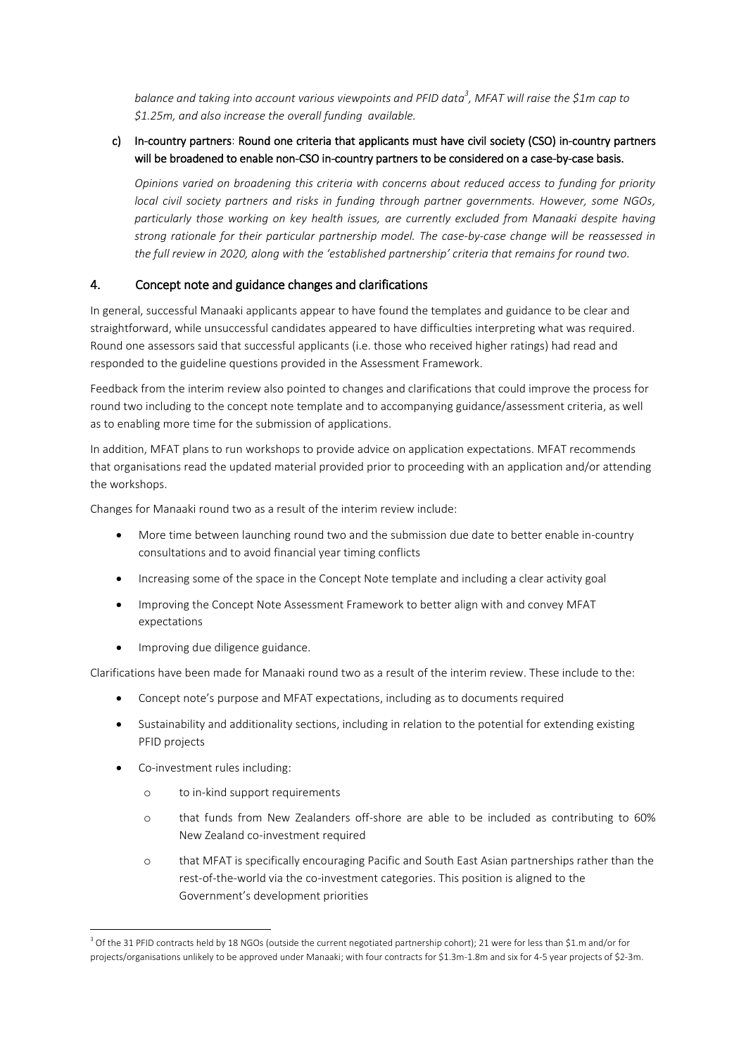*balance and taking into account various viewpoints and PFID data<sup>3</sup> , MFAT will raise the \$1m cap to \$1.25m, and also increase the overall funding available.*

# c) In-country partners: Round one criteria that applicants must have civil society (CSO) in-country partners will be broadened to enable non-CSO in-country partners to be considered on a case-by-case basis.

*Opinions varied on broadening this criteria with concerns about reduced access to funding for priority local civil society partners and risks in funding through partner governments. However, some NGOs, particularly those working on key health issues, are currently excluded from Manaaki despite having strong rationale for their particular partnership model. The case-by-case change will be reassessed in the full review in 2020, along with the 'established partnership' criteria that remains for round two.* 

# 4. Concept note and guidance changes and clarifications

In general, successful Manaaki applicants appear to have found the templates and guidance to be clear and straightforward, while unsuccessful candidates appeared to have difficulties interpreting what was required. Round one assessors said that successful applicants (i.e. those who received higher ratings) had read and responded to the guideline questions provided in the Assessment Framework.

Feedback from the interim review also pointed to changes and clarifications that could improve the process for round two including to the concept note template and to accompanying guidance/assessment criteria, as well as to enabling more time for the submission of applications.

In addition, MFAT plans to run workshops to provide advice on application expectations. MFAT recommends that organisations read the updated material provided prior to proceeding with an application and/or attending the workshops.

Changes for Manaaki round two as a result of the interim review include:

- More time between launching round two and the submission due date to better enable in-country consultations and to avoid financial year timing conflicts
- Increasing some of the space in the Concept Note template and including a clear activity goal
- Improving the Concept Note Assessment Framework to better align with and convey MFAT expectations
- Improving due diligence guidance.

Clarifications have been made for Manaaki round two as a result of the interim review. These include to the:

- Concept note's purpose and MFAT expectations, including as to documents required
- Sustainability and additionality sections, including in relation to the potential for extending existing PFID projects
- Co-investment rules including:
	- o to in-kind support requirements
	- o that funds from New Zealanders off-shore are able to be included as contributing to 60% New Zealand co-investment required
	- o that MFAT is specifically encouraging Pacific and South East Asian partnerships rather than the rest-of-the-world via the co-investment categories. This position is aligned to the Government's development priorities

 $\overline{a}$  $^3$  Of the 31 PFID contracts held by 18 NGOs (outside the current negotiated partnership cohort); 21 were for less than \$1.m and/or for projects/organisations unlikely to be approved under Manaaki; with four contracts for \$1.3m-1.8m and six for 4-5 year projects of \$2-3m.